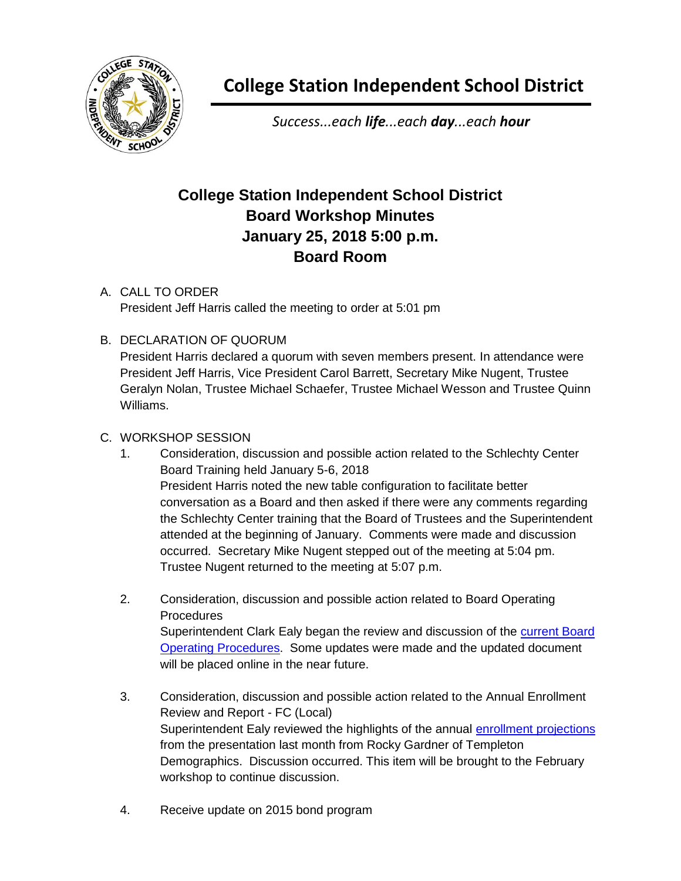

**College Station Independent School District**

*Success...each life...each day...each hour*

## **College Station Independent School District Board Workshop Minutes January 25, 2018 5:00 p.m. Board Room**

## A. CALL TO ORDER

President Jeff Harris called the meeting to order at 5:01 pm

## B. DECLARATION OF QUORUM

President Harris declared a quorum with seven members present. In attendance were President Jeff Harris, Vice President Carol Barrett, Secretary Mike Nugent, Trustee Geralyn Nolan, Trustee Michael Schaefer, Trustee Michael Wesson and Trustee Quinn Williams.

## C. WORKSHOP SESSION

- 1. Consideration, discussion and possible action related to the Schlechty Center Board Training held January 5-6, 2018 President Harris noted the new table configuration to facilitate better conversation as a Board and then asked if there were any comments regarding the Schlechty Center training that the Board of Trustees and the Superintendent attended at the beginning of January. Comments were made and discussion occurred. Secretary Mike Nugent stepped out of the meeting at 5:04 pm. Trustee Nugent returned to the meeting at 5:07 p.m.
- 2. Consideration, discussion and possible action related to Board Operating **Procedures** Superintendent Clark Ealy began the review and discussion of the [current Board](http://web.csisd.org/school_board/agendas/2017-2018/February/BoardOperatingProceduresJanuary2016CH.pdf)  [Operating Procedures.](http://web.csisd.org/school_board/agendas/2017-2018/February/BoardOperatingProceduresJanuary2016CH.pdf) Some updates were made and the updated document will be placed online in the near future.
- 3. Consideration, discussion and possible action related to the Annual Enrollment Review and Report - FC (Local) Superintendent Ealy reviewed the highlights of the annual [enrollment projections](http://web.csisd.org/school_board/agendas/2017-2018/February/EalyEnrollProjs-aaa-JanWkshp.pdf) from the presentation last month from Rocky Gardner of Templeton Demographics. Discussion occurred. This item will be brought to the February workshop to continue discussion.
- 4. Receive update on 2015 bond program